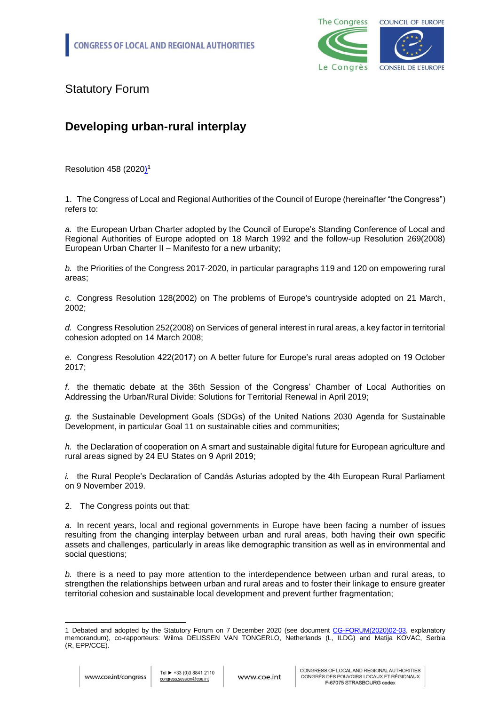

Statutory Forum

## **Developing urban-rural interplay**

Resolution 458 (2020) **1**

1. The Congress of Local and Regional Authorities of the Council of Europe (hereinafter "the Congress") refers to:

*a.* the European Urban Charter adopted by the Council of Europe's Standing Conference of Local and Regional Authorities of Europe adopted on 18 March 1992 and the follow-up Resolution 269(2008) European Urban Charter II – Manifesto for a new urbanity;

*b.* the Priorities of the Congress 2017-2020, in particular paragraphs 119 and 120 on empowering rural areas;

*c.* Congress Resolution 128(2002) on The problems of Europe's countryside adopted on 21 March, 2002;

*d.* Congress Resolution 252(2008) on Services of general interest in rural areas, a key factor in territorial cohesion adopted on 14 March 2008;

*e.* Congress Resolution 422(2017) on A better future for Europe's rural areas adopted on 19 October 2017;

*f.* the thematic debate at the 36th Session of the Congress' Chamber of Local Authorities on Addressing the Urban/Rural Divide: Solutions for Territorial Renewal in April 2019;

*g.* the Sustainable Development Goals (SDGs) of the United Nations 2030 Agenda for Sustainable Development, in particular Goal 11 on sustainable cities and communities;

*h.* the Declaration of cooperation on A smart and sustainable digital future for European agriculture and rural areas signed by 24 EU States on 9 April 2019;

*i.* the Rural People's Declaration of Candás Asturias adopted by the 4th European Rural Parliament on 9 November 2019.

2. The Congress points out that:

*a.* In recent years, local and regional governments in Europe have been facing a number of issues resulting from the changing interplay between urban and rural areas, both having their own specific assets and challenges, particularly in areas like demographic transition as well as in environmental and social questions;

*b.* there is a need to pay more attention to the interdependence between urban and rural areas, to strengthen the relationships between urban and rural areas and to foster their linkage to ensure greater territorial cohesion and sustainable local development and prevent further fragmentation;

<sup>-</sup>1 Debated and adopted by the Statutory Forum on 7 December 2020 (see document [CG-FORUM\(2020\)02-03,](CG-FORUM(2020)02-03_EN_urban-rural%20interplay.docx) explanatory memorandum), co-rapporteurs: Wilma DELISSEN VAN TONGERLO, Netherlands (L, ILDG) and Matija KOVAC, Serbia (R, EPP/CCE).